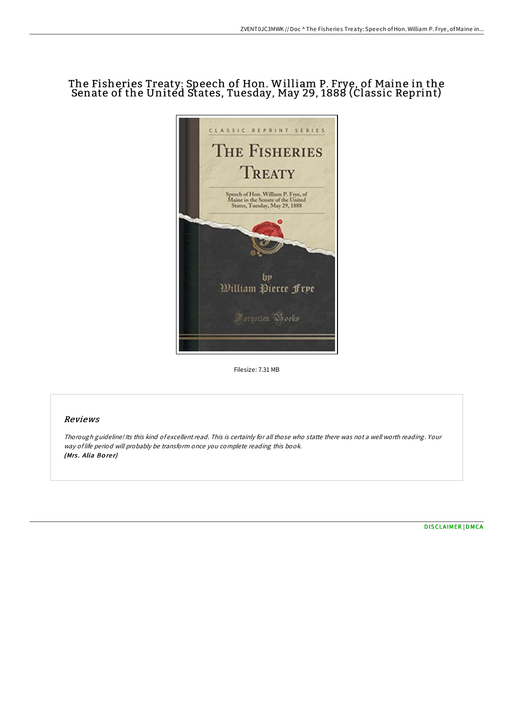# The Fisheries Treaty: Speech of Hon. William P. Frye, of Maine in the Senate of the United States, Tuesday, May 29, 1888 (Classic Reprint)



Filesize: 7.31 MB

## Reviews

Thorough guideline! Its this kind of excellent read. This is certainly for all those who statte there was not <sup>a</sup> well worth reading. Your way of life period will probably be transform once you complete reading this book. (Mrs. Alia Borer)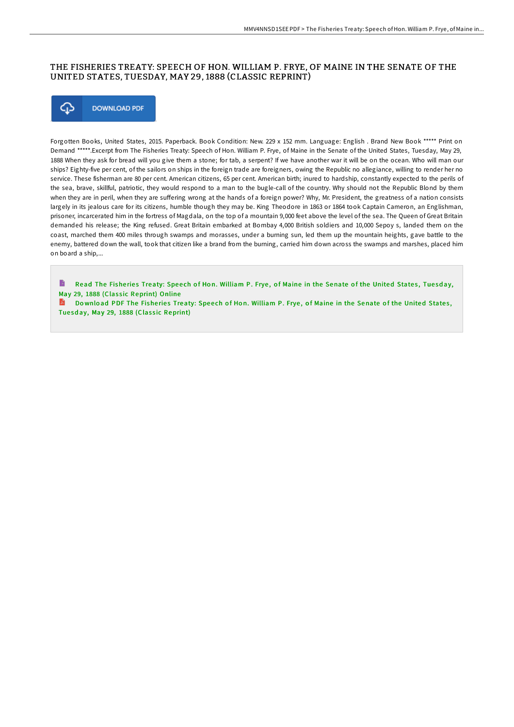### THE FISHERIES TREATY: SPEECH OF HON. WILLIAM P. FRYE, OF MAINE IN THE SENATE OF THE UNITED STATES, TUESDAY, MAY 29, 1888 (CLASSIC REPRINT)



Forgotten Books, United States, 2015. Paperback. Book Condition: New. 229 x 152 mm. Language: English . Brand New Book \*\*\*\*\* Print on Demand \*\*\*\*\*.Excerpt from The Fisheries Treaty: Speech of Hon. William P. Frye, of Maine in the Senate of the United States, Tuesday, May 29, 1888 When they ask for bread will you give them a stone; for tab, a serpent? If we have another war it will be on the ocean. Who will man our ships? Eighty-five per cent, of the sailors on ships in the foreign trade are foreigners, owing the Republic no allegiance, willing to render her no service. These fisherman are 80 per cent. American citizens, 65 per cent. American birth; inured to hardship, constantly expected to the perils of the sea, brave, skillful, patriotic, they would respond to a man to the bugle-call of the country. Why should not the Republic Blond by them when they are in peril, when they are suffering wrong at the hands of a foreign power? Why, Mr. President, the greatness of a nation consists largely in its jealous care for its citizens, humble though they may be. King Theodore in 1863 or 1864 took Captain Cameron, an Englishman, prisoner, incarcerated him in the fortress of Magdala, on the top of a mountain 9,000 feet above the level of the sea. The Queen of Great Britain demanded his release; the King refused. Great Britain embarked at Bombay 4,000 British soldiers and 10,000 Sepoy s, landed them on the coast, marched them 400 miles through swamps and morasses, under a burning sun, led them up the mountain heights, gave battle to the enemy, battered down the wall, took that citizen like a brand from the burning, carried him down across the swamps and marshes, placed him on board a ship,...

B Read The Fisheries Treaty: Speech of Hon. William P. Frye, of Maine in the Senate of the United States, Tuesday, May 29, 1888 (Classic [Reprint\)](http://almighty24.tech/the-fisheries-treaty-speech-of-hon-william-p-fry.html) Online

Do wnload PDF The Fisheries Treaty: Speech of Hon. William P. Frye, of Maine in the Senate of the United States, Tuesday, May 29, 1888 (Classic [Reprint\)](http://almighty24.tech/the-fisheries-treaty-speech-of-hon-william-p-fry.html)